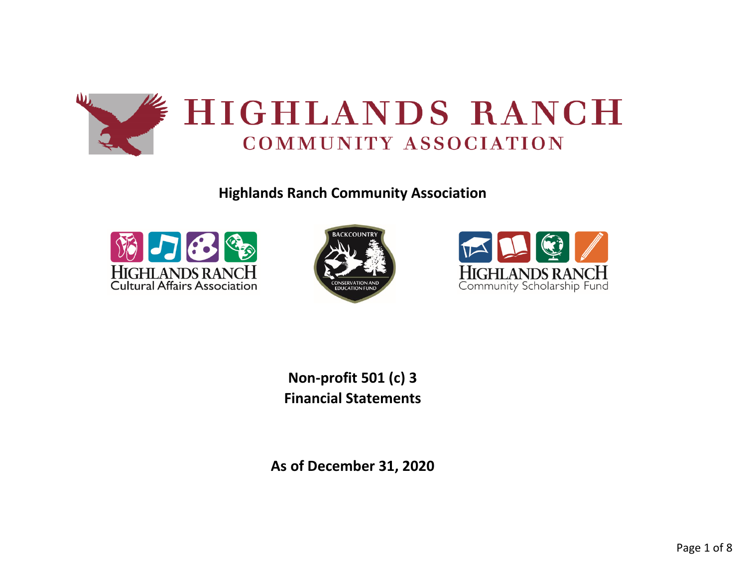

**Highlands Ranch Community Association**







**Non-profit 501 (c) 3 Financial Statements**

**As of December 31, 2020**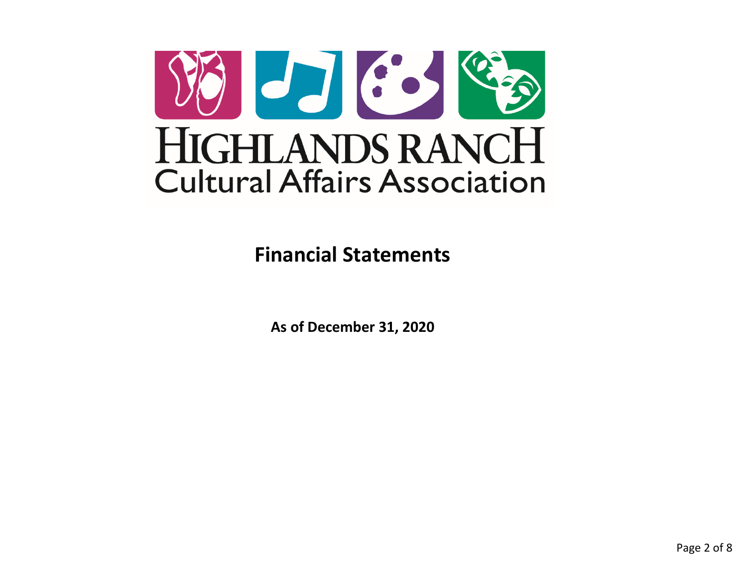

**Financial Statements**

**As of December 31, 2020**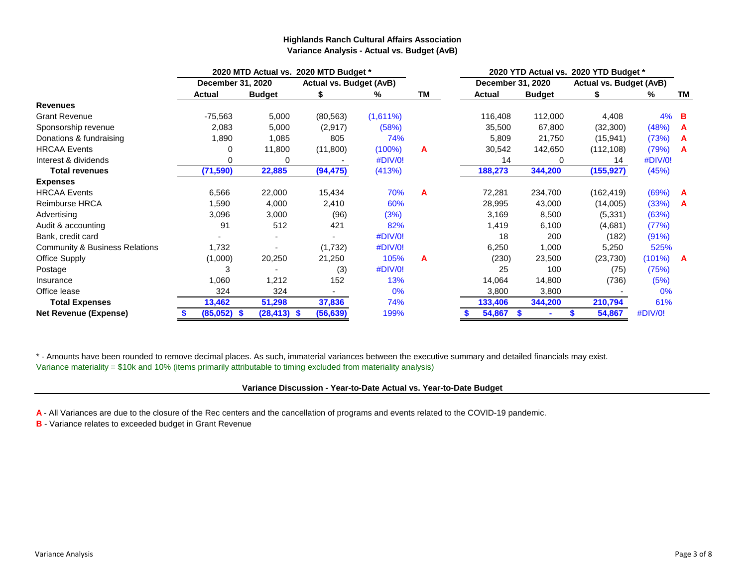## **Highlands Ranch Cultural Affairs Association Variance Analysis - Actual vs. Budget (AvB)**

|                                           | 2020 MTD Actual vs. 2020 MTD Budget * |                |                                |             |    | 2020 YTD Actual vs. 2020 YTD Budget * |               |                                |         |           |  |  |  |
|-------------------------------------------|---------------------------------------|----------------|--------------------------------|-------------|----|---------------------------------------|---------------|--------------------------------|---------|-----------|--|--|--|
|                                           | December 31, 2020                     |                | <b>Actual vs. Budget (AvB)</b> |             |    | December 31, 2020                     |               | <b>Actual vs. Budget (AvB)</b> |         |           |  |  |  |
|                                           | <b>Actual</b>                         | <b>Budget</b>  | æ.                             | ℅           | ΤM | <b>Actual</b>                         | <b>Budget</b> |                                | ℅       | <b>TM</b> |  |  |  |
| <b>Revenues</b>                           |                                       |                |                                |             |    |                                       |               |                                |         |           |  |  |  |
| <b>Grant Revenue</b>                      | $-75,563$                             | 5,000          | (80, 563)                      | $(1,611\%)$ |    | 116,408                               | 112,000       | 4,408                          | $4\%$ B |           |  |  |  |
| Sponsorship revenue                       | 2,083                                 | 5,000          | (2,917)                        | (58%)       |    | 35,500                                | 67,800        | (32, 300)                      | (48%)   | A         |  |  |  |
| Donations & fundraising                   | 1,890                                 | 1,085          | 805                            | 74%         |    | 5,809                                 | 21,750        | (15, 941)                      | (73%)   | A         |  |  |  |
| <b>HRCAA Events</b>                       | 0                                     | 11,800         | (11,800)                       | $(100\%)$   | A  | 30,542                                | 142,650       | (112, 108)                     | (79%)   | - A       |  |  |  |
| Interest & dividends                      | 0                                     | O              |                                | #DIV/0!     |    | 14                                    | $\Omega$      | 14                             | #DIV/0! |           |  |  |  |
| <b>Total revenues</b>                     | (71, 590)                             | 22,885         | (94, 475)                      | (413%)      |    | 188,273                               | 344,200       | (155, 927)                     | (45%)   |           |  |  |  |
| <b>Expenses</b>                           |                                       |                |                                |             |    |                                       |               |                                |         |           |  |  |  |
| <b>HRCAA Events</b>                       | 6,566                                 | 22,000         | 15,434                         | 70%         | A  | 72,281                                | 234,700       | (162, 419)                     | (69%)   | A         |  |  |  |
| Reimburse HRCA                            | 1,590                                 | 4,000          | 2,410                          | 60%         |    | 28,995                                | 43,000        | (14,005)                       | (33%)   | A         |  |  |  |
| Advertising                               | 3,096                                 | 3,000          | (96)                           | (3%)        |    | 3,169                                 | 8,500         | (5, 331)                       | (63%)   |           |  |  |  |
| Audit & accounting                        | 91                                    | 512            | 421                            | 82%         |    | 1,419                                 | 6,100         | (4,681)                        | (77%)   |           |  |  |  |
| Bank, credit card                         |                                       |                |                                | #DIV/0!     |    | 18                                    | 200           | (182)                          | (91%)   |           |  |  |  |
| <b>Community &amp; Business Relations</b> | 1,732                                 |                | (1,732)                        | #DIV/0!     |    | 6,250                                 | 1,000         | 5,250                          | 525%    |           |  |  |  |
| <b>Office Supply</b>                      | (1,000)                               | 20,250         | 21,250                         | 105%        | A  | (230)                                 | 23,500        | (23, 730)                      | (101%)  | A         |  |  |  |
| Postage                                   | 3                                     |                | (3)                            | #DIV/0!     |    | 25                                    | 100           | (75)                           | (75%)   |           |  |  |  |
| Insurance                                 | 1,060                                 | 1,212          | 152                            | 13%         |    | 14,064                                | 14,800        | (736)                          | (5%)    |           |  |  |  |
| Office lease                              | 324                                   | 324            |                                | 0%          |    | 3,800                                 | 3,800         |                                | 0%      |           |  |  |  |
| <b>Total Expenses</b>                     | 13,462                                | 51,298         | 37,836                         | 74%         |    | 344,200<br>210,794<br>133,406         |               | 61%                            |         |           |  |  |  |
| <b>Net Revenue (Expense)</b>              | (85,052)<br>-\$                       | $(28, 413)$ \$ | (56, 639)                      | 199%        |    | 54,867                                | \$            | 54,867                         | #DIV/0! |           |  |  |  |

\* - Amounts have been rounded to remove decimal places. As such, immaterial variances between the executive summary and detailed financials may exist. Variance materiality = \$10k and 10% (items primarily attributable to timing excluded from materiality analysis)

### **Variance Discussion - Year-to-Date Actual vs. Year-to-Date Budget**

**A** - All Variances are due to the closure of the Rec centers and the cancellation of programs and events related to the COVID-19 pandemic.

**B** - Variance relates to exceeded budget in Grant Revenue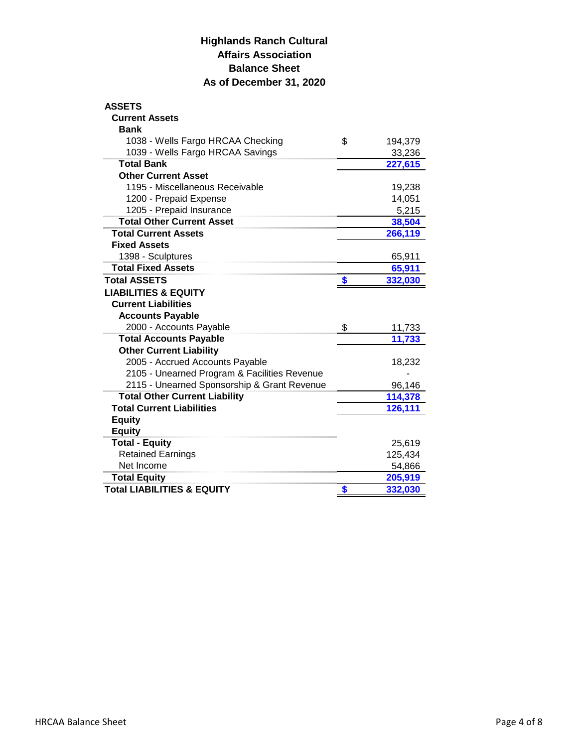## **Highlands Ranch Cultural Affairs Association Balance Sheet As of December 31, 2020**

| <b>ASSETS</b>                                |               |
|----------------------------------------------|---------------|
| <b>Current Assets</b>                        |               |
| <b>Bank</b>                                  |               |
| 1038 - Wells Fargo HRCAA Checking            | \$<br>194,379 |
| 1039 - Wells Fargo HRCAA Savings             | 33,236        |
| <b>Total Bank</b>                            | 227,615       |
| <b>Other Current Asset</b>                   |               |
| 1195 - Miscellaneous Receivable              | 19,238        |
| 1200 - Prepaid Expense                       | 14,051        |
| 1205 - Prepaid Insurance                     | 5,215         |
| <b>Total Other Current Asset</b>             | 38,504        |
| <b>Total Current Assets</b>                  | 266,119       |
| <b>Fixed Assets</b>                          |               |
| 1398 - Sculptures                            | 65,911        |
| <b>Total Fixed Assets</b>                    | 65,911        |
| <b>Total ASSETS</b>                          | 332,030       |
| <b>LIABILITIES &amp; EQUITY</b>              |               |
| <b>Current Liabilities</b>                   |               |
| <b>Accounts Payable</b>                      |               |
| 2000 - Accounts Payable                      | \$<br>11,733  |
| <b>Total Accounts Payable</b>                | 11,733        |
| <b>Other Current Liability</b>               |               |
| 2005 - Accrued Accounts Payable              | 18,232        |
| 2105 - Unearned Program & Facilities Revenue |               |
| 2115 - Unearned Sponsorship & Grant Revenue  | 96,146        |
| <b>Total Other Current Liability</b>         | 114,378       |
| <b>Total Current Liabilities</b>             | 126,111       |
| <b>Equity</b>                                |               |
| <b>Equity</b>                                |               |
| <b>Total - Equity</b>                        | 25,619        |
| <b>Retained Earnings</b>                     | 125,434       |
| Net Income                                   | 54,866        |
| <b>Total Equity</b>                          | 205,919       |
| <b>Total LIABILITIES &amp; EQUITY</b>        | 332,030       |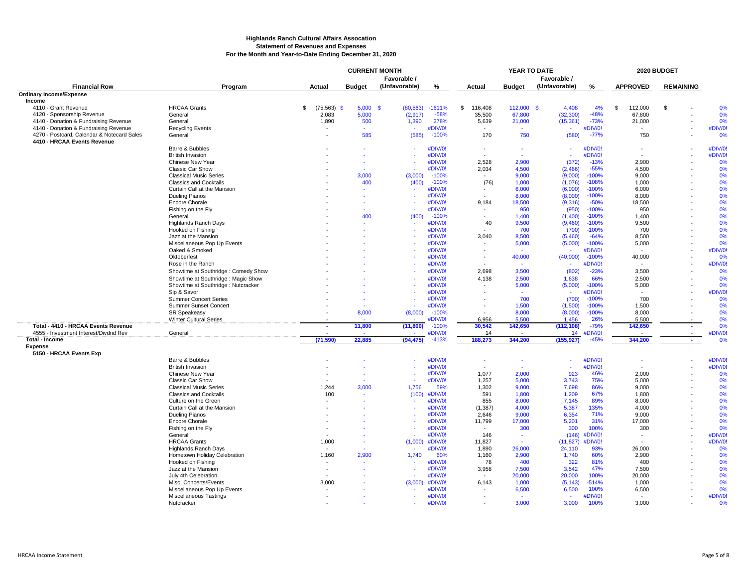#### **Highlands Ranch Cultural Affairs Assocation Statement of Revenues and Expenses For the Month and Year-to-Date Ending December 31, 2020**

|                                            |                                                      | <b>CURRENT MONTH</b><br>YEAR TO DATE<br>Favorable / |               |               | Favorable /        | 2020 BUDGET    |                |                     |                   |    |                 |                  |                    |
|--------------------------------------------|------------------------------------------------------|-----------------------------------------------------|---------------|---------------|--------------------|----------------|----------------|---------------------|-------------------|----|-----------------|------------------|--------------------|
| <b>Financial Row</b>                       | Program                                              | Actual                                              | <b>Budget</b> | (Unfavorable) | %                  | Actual         | <b>Budget</b>  | (Unfavorable)       | %                 |    | <b>APPROVED</b> | <b>REMAINING</b> |                    |
| <b>Ordinary Income/Expense</b>             |                                                      |                                                     |               |               |                    |                |                |                     |                   |    |                 |                  |                    |
| Income                                     |                                                      |                                                     |               |               |                    |                |                |                     |                   |    |                 |                  |                    |
| 4110 - Grant Revenue                       | <b>HRCAA Grants</b>                                  | $(75,563)$ \$<br>\$                                 | 5,000S        | (80, 563)     | $-1611%$           | \$<br>116,408  | 112,000        | 4,408<br>- \$       | 4%                | \$ | 112,000         | $\mathfrak{s}$   | 0%                 |
| 4120 - Sponsorship Revenue                 | General                                              | 2.083                                               | 5.000         | (2,917)       | $-58%$             | 35,500         | 67,800         | (32, 300)           | $-48%$            |    | 67.800          |                  | 0%                 |
| 4140 - Donation & Fundraising Revenue      | General                                              | 1,890                                               | 500           | 1,390         | 278%               | 5,639          | 21,000         | (15, 361)           | $-73%$            |    | 21,000          |                  | 0%                 |
| 4140 - Donation & Fundraising Revenue      | <b>Recycling Events</b>                              |                                                     |               |               | #DIV/0!            | $\sim$         |                |                     | #DIV/0!           |    |                 |                  | #DIV/0!            |
| 4270 - Postcard, Calendar & Notecard Sales | General                                              |                                                     | 585           | (585)         | $-100%$            | 170            | 750            | (580)               | $-77%$            |    | 750             |                  | 0%                 |
| 4410 - HRCAA Events Revenue                |                                                      |                                                     |               |               |                    |                |                |                     |                   |    |                 |                  |                    |
|                                            | Barre & Bubbles                                      |                                                     |               |               | #DIV/0!            | $\blacksquare$ |                | $\mathbf{r}$        | #DIV/0!           |    |                 |                  | #DIV/0!<br>#DIV/0! |
|                                            | <b>British Invasion</b><br>Chinese New Year          |                                                     |               |               | #DIV/0!<br>#DIV/0! | 2,528          | 2,900          | (372)               | #DIV/0!<br>$-13%$ |    | 2,900           |                  | 0%                 |
|                                            | <b>Classic Car Show</b>                              |                                                     |               |               | #DIV/0!            | 2,034          | 4,500          | (2,466)             | $-55%$            |    | 4,500           |                  | 0%                 |
|                                            | <b>Classical Music Series</b>                        |                                                     | 3.000         | (3,000)       | $-100%$            | $\sim$         | 9.000          | (9,000)             | $-100%$           |    | 9.000           |                  | 0%                 |
|                                            | <b>Classics and Cocktails</b>                        |                                                     | 400           | (400)         | $-100%$            | (76)           | 1,000          | (1,076)             | $-108%$           |    | 1,000           |                  | 0%                 |
|                                            | Curtain Call at the Mansion                          |                                                     |               |               | #DIV/0!            |                | 6,000          | (6,000)             | $-100%$           |    | 6,000           |                  | 0%                 |
|                                            | Dueling Pianos                                       |                                                     |               |               | #DIV/0!            |                | 8,000          | (8,000)             | $-100%$           |    | 8,000           |                  | 0%                 |
|                                            | <b>Encore Chorale</b>                                |                                                     |               |               | #DIV/0!            | 9.184          | 18,500         | (9,316)             | $-50%$            |    | 18,500          |                  | 0%                 |
|                                            | Fishing on the Fly                                   |                                                     |               |               | #DIV/0!            |                | 950            | (950)               | $-100%$           |    | 950             |                  | 0%                 |
|                                            | General                                              |                                                     | 400           | (400)         | $-100%$            | $\sim$         | 1,400          | (1,400)             | $-100%$           |    | 1,400           |                  | 0%                 |
|                                            | <b>Highlands Ranch Days</b>                          |                                                     |               |               | #DIV/0!            | 40             | 9.500          | (9,460)             | $-100%$           |    | 9.500           |                  | 0%                 |
|                                            | Hooked on Fishing                                    |                                                     |               |               | #DIV/0!            |                | 700            | (700)               | $-100%$           |    | 700             |                  | 0%                 |
|                                            | Jazz at the Mansion                                  |                                                     |               |               | #DIV/0!            | 3,040          | 8,500          | (5,460)             | $-64%$            |    | 8,500           |                  | 0%                 |
|                                            | Miscellaneous Pop Up Events                          |                                                     |               |               | #DIV/0!            |                | 5,000          | (5,000)             | $-100%$           |    | 5,000           |                  | 0%                 |
|                                            | Oaked & Smoked                                       |                                                     |               |               | #DIV/0!            |                |                |                     | #DIV/0!           |    |                 |                  | #DIV/0!            |
|                                            | Oktoberfest                                          |                                                     |               |               | #DIV/0!            |                | 40,000         | (40,000)            | $-100%$           |    | 40,000          |                  | 0%                 |
|                                            | Rose in the Ranch                                    |                                                     |               |               | #DIV/0!            |                |                |                     | #DIV/0!           |    |                 |                  | #DIV/0!            |
|                                            | Showtime at Southridge : Comedy Show                 |                                                     |               |               | #DIV/0!            | 2,698          | 3,500          | (802)               | $-23%$            |    | 3,500           |                  | 0%                 |
|                                            | Showtime at Southridge : Magic Show                  |                                                     |               |               | #DIV/0!            | 4.138          | 2.500          | 1.638               | 66%               |    | 2.500           |                  | 0%                 |
|                                            | Showtime at Southridge : Nutcracker                  |                                                     |               |               | #DIV/0!            |                | 5,000          | (5,000)             | $-100%$           |    | 5,000           |                  | 0%                 |
|                                            | Sip & Savor                                          |                                                     |               |               | #DIV/0!            |                | $\sim$         | ÷.                  | #DIV/0!           |    |                 |                  | #DIV/0!            |
|                                            | <b>Summer Concert Series</b>                         |                                                     |               |               | #DIV/0!            |                | 700            | (700)               | $-100%$           |    | 700             |                  | 0%                 |
|                                            | Summer Sunset Concert                                |                                                     |               |               | #DIV/0!            |                | 1,500          | (1,500)             | $-100%$           |    | 1,500           |                  | 0%<br>0%           |
|                                            | <b>SR Speakeasy</b><br><b>Winter Cultural Series</b> |                                                     | 8,000         | (8,000)       | $-100%$<br>#DIV/0! | 6.956          | 8,000<br>5.500 | (8,000)<br>1.456    | $-100%$<br>26%    |    | 8,000<br>5.500  |                  | 0%                 |
| Total - 4410 - HRCAA Events Revenue        |                                                      | ×.                                                  | 11,800        | (11,800)      | $-100%$            | 30,542         | 142,650        | (112, 108)          | $-79%$            |    | 142,650         |                  | 0%                 |
| 4555 - Investment Interest/Divdnd Rev      | General                                              |                                                     |               |               | #DIV/0!            | 14             |                | 14                  | #DIV/0!           |    |                 |                  | #DIV/0!            |
| <b>Total - Income</b>                      |                                                      | (71.590)                                            | 22.885        | (94, 475)     | $-413%$            | 188.273        | 344.200        | (155, 927)          | $-45%$            |    | 344.200         | $\sim$           | 0%                 |
| <b>Expense</b>                             |                                                      |                                                     |               |               |                    |                |                |                     |                   |    |                 |                  |                    |
| 5150 - HRCAA Events Exp                    |                                                      |                                                     |               |               |                    |                |                |                     |                   |    |                 |                  |                    |
|                                            | Barre & Bubbles                                      |                                                     |               |               | #DIV/0!            | $\sim$         |                | $\sim$              | #DIV/0!           |    |                 |                  | #DIV/0!            |
|                                            | <b>British Invasion</b>                              |                                                     |               |               | #DIV/0!            |                |                | $\sim$              | #DIV/0!           |    |                 |                  | #DIV/0!            |
|                                            | Chinese New Year                                     |                                                     |               |               | #DIV/0!            | 1,077          | 2,000          | 923                 | 46%               |    | 2,000           |                  | 0%                 |
|                                            | <b>Classic Car Show</b>                              |                                                     |               |               | #DIV/0!            | 1,257          | 5,000          | 3,743               | 75%               |    | 5,000           |                  | 0%                 |
|                                            | <b>Classical Music Series</b>                        | 1,244                                               | 3,000         | 1.756         | 59%                | 1,302          | 9,000          | 7,698               | 86%               |    | 9,000           |                  | 0%                 |
|                                            | <b>Classics and Cocktails</b>                        | 100                                                 |               | (100)         | #DIV/0!            | 591            | 1,800          | 1,209               | 67%               |    | 1,800           |                  | 0%                 |
|                                            | Culture on the Green                                 |                                                     |               |               | #DIV/0!            | 855            | 8,000          | 7,145               | 89%               |    | 8,000           |                  | 0%                 |
|                                            | Curtain Call at the Mansion                          |                                                     |               |               | #DIV/0!            | (1, 387)       | 4,000          | 5.387               | 135%              |    | 4.000           |                  | 0%                 |
|                                            | Dueling Pianos                                       |                                                     |               |               | #DIV/0!            | 2,646          | 9,000          | 6,354               | 71%               |    | 9,000           |                  | 0%                 |
|                                            | <b>Encore Chorale</b>                                |                                                     |               |               | #DIV/0!            | 11,799         | 17,000         | 5,201               | 31%               |    | 17,000          |                  | 0%                 |
|                                            | Fishing on the Fly<br>General                        |                                                     |               |               | #DIV/0!<br>#DIV/0! | 146            | 300<br>$\sim$  | 300                 | 100%<br>#DIV/0!   |    | 300<br>$\sim$   |                  | 0%<br>#DIV/0!      |
|                                            | <b>HRCAA Grants</b>                                  | 1,000                                               |               | (1,000)       | #DIV/0!            | 11,827         |                | (146)               | #DIV/0!           |    |                 |                  | #DIV/0!            |
|                                            | <b>Highlands Ranch Days</b>                          |                                                     |               |               | #DIV/0!            | 1,890          | 26,000         | (11, 827)<br>24,110 | 93%               |    | 26,000          |                  | 0%                 |
|                                            | Hometown Holiday Celebration                         | 1,160                                               | 2,900         | 1,740         | 60%                | 1,160          | 2,900          | 1,740               | 60%               |    | 2,900           |                  | 0%                 |
|                                            | Hooked on Fishing                                    |                                                     |               |               | #DIV/0!            | 78             | 400            | 322                 | 81%               |    | 400             |                  | 0%                 |
|                                            | Jazz at the Mansion                                  |                                                     |               |               | #DIV/0!            | 3,958          | 7,500          | 3,542               | 47%               |    | 7,500           |                  | 0%                 |
|                                            | July 4th Celebration                                 |                                                     |               |               | #DIV/0!            |                | 20,000         | 20,000              | 100%              |    | 20,000          |                  | 0%                 |
|                                            | Misc. Concerts/Events                                | 3.000                                               |               | (3.000)       | #DIV/0!            | 6.143          | 1.000          | (5, 143)            | $-514%$           |    | 1.000           |                  | 0%                 |
|                                            | Miscellaneous Pop Up Events                          |                                                     |               |               | #DIV/0!            |                | 6,500          | 6,500               | 100%              |    | 6,500           |                  | 0%                 |
|                                            | Miscellaneous Tastings                               |                                                     |               |               | #DIV/0!            |                |                |                     | #DIV/0!           |    |                 |                  | #DIV/0!            |
|                                            | Nutcracker                                           |                                                     |               |               | #DIV/0!            |                | 3.000          | 3.000               | 100%              |    | 3.000           |                  | 0%                 |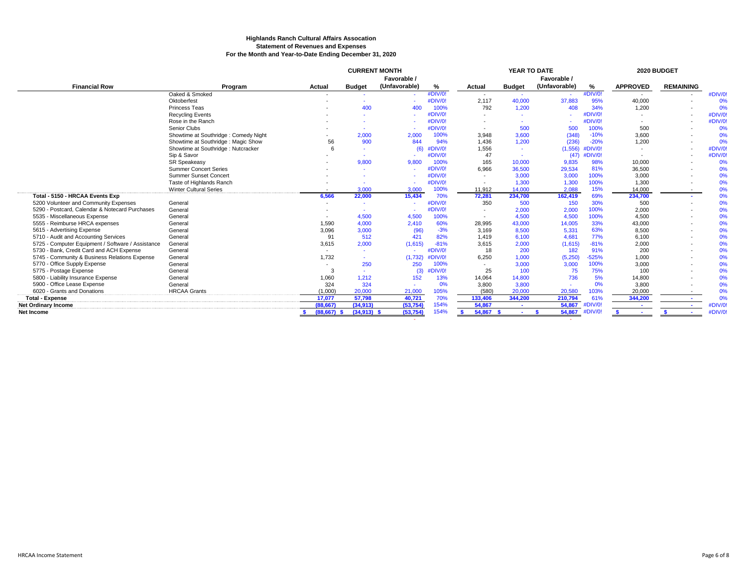#### **Highlands Ranch Cultural Affairs Assocation Statement of Revenues and Expenses For the Month and Year-to-Date Ending December 31, 2020**

|                                                   |                                      | <b>CURRENT MONTH</b>     |                          |               |         | YEAR TO DATE             |               |               | 2020 BUDGET       |                 |                  |         |
|---------------------------------------------------|--------------------------------------|--------------------------|--------------------------|---------------|---------|--------------------------|---------------|---------------|-------------------|-----------------|------------------|---------|
|                                                   |                                      | Favorable /              |                          |               |         |                          | Favorable /   |               |                   |                 |                  |         |
| <b>Financial Row</b>                              | Program                              | Actual                   | <b>Budget</b>            | (Unfavorable) | %       | Actual                   | <b>Budget</b> | (Unfavorable) | %                 | <b>APPROVED</b> | <b>REMAINING</b> |         |
|                                                   | Oaked & Smoked                       | $\overline{\phantom{a}}$ |                          |               | #DIV/0! | $\overline{\phantom{a}}$ | $\sim$        | $\sim$        | #DIV/0!           |                 |                  | #DIV/0! |
|                                                   | Oktoberfest                          |                          |                          |               | #DIV/0! | 2.117                    | 40,000        | 37,883        | 95%               | 40,000          |                  | 0%      |
|                                                   | Princess Teas                        |                          | 400                      | 400           | 100%    | 792                      | 1.200         | 408           | 34%               | 1,200           |                  | 0%      |
|                                                   | <b>Recycling Events</b>              |                          |                          |               | #DIV/0! |                          |               |               | #DIV/0!           |                 |                  | #DIV/0! |
|                                                   | Rose in the Ranch                    |                          |                          |               | #DIV/0! |                          |               |               | #DIV/0!           |                 |                  | #DIV/0! |
|                                                   | Senior Clubs                         |                          |                          |               | #DIV/0! |                          | 500           | 500           | 100%              | 500             |                  | 0%      |
|                                                   | Showtime at Southridge: Comedy Night |                          | 2,000                    | 2.000         | 100%    | 3.948                    | 3.600         | (348)         | $-10%$            | 3,600           |                  | 0%      |
|                                                   | Showtime at Southridge: Magic Show   | 56                       | 900                      | 844           | 94%     | 1,436                    | 1,200         | (236)         | $-20%$            | 1,200           |                  | 0%      |
|                                                   | Showtime at Southridge : Nutcracker  | 6                        |                          | (6)           | #DIV/0! | 1,556                    |               |               | $(1,556)$ #DIV/0! |                 |                  | #DIV/0! |
|                                                   | Sip & Savor                          |                          |                          |               | #DIV/0! | 47                       |               | (47)          | #DIV/0!           |                 |                  | #DIV/0! |
|                                                   | <b>SR Speakeasy</b>                  |                          | 9,800                    | 9.800         | 100%    | 165                      | 10,000        | 9,835         | 98%               | 10,000          |                  | 0%      |
|                                                   | <b>Summer Concert Series</b>         |                          |                          |               | #DIV/0! | 6,966                    | 36,500        | 29,534        | 81%               | 36,500          |                  | 0%      |
|                                                   | <b>Summer Sunset Concert</b>         |                          | $\overline{\phantom{a}}$ |               | #DIV/0! | $\overline{\phantom{a}}$ | 3,000         | 3,000         | 100%              | 3,000           |                  | 0%      |
|                                                   | Taste of Highlands Ranch             |                          |                          |               | #DIV/0! | $\overline{\phantom{a}}$ | 1,300         | 1,300         | 100%              | 1,300           |                  | 0%      |
|                                                   | <b>Winter Cultural Series</b>        | $\overline{\phantom{a}}$ | 3.000                    | 3.000         | 100%    | 11,912                   | 14,000        | 2,088         | 15%               | 14,000          |                  | 0%      |
| Total - 5150 - HRCAA Events Exp                   |                                      | 6,566                    | 22,000                   | 15,434        | 70%     | 72,281                   | 234,700       | 162,419       | 69%               | 234,700         |                  | 0%      |
| 5200 Volunteer and Community Expenses             | General                              | $\overline{\phantom{a}}$ | $\overline{\phantom{a}}$ |               | #DIV/0! | 350                      | 500           | 150           | 30%               | 500             |                  | 0%      |
| 5290 - Postcard, Calendar & Notecard Purchases    | General                              |                          |                          |               | #DIV/0! |                          | 2,000         | 2,000         | 100%              | 2,000           |                  | 0%      |
| 5535 - Miscellaneous Expense                      | General                              |                          | 4,500                    | 4.500         | 100%    | $\overline{\phantom{a}}$ | 4.500         | 4,500         | 100%              | 4,500           |                  | 0%      |
| 5555 - Reimburse HRCA expenses                    | General                              | 1.590                    | 4,000                    | 2.410         | 60%     | 28,995                   | 43,000        | 14,005        | 33%               | 43,000          |                  | 0%      |
| 5615 - Advertising Expense                        | General                              | 3,096                    | 3,000                    | (96)          | $-3%$   | 3.169                    | 8,500         | 5,331         | 63%               | 8,500           |                  | 0%      |
| 5710 - Audit and Accounting Services              | General                              | 91                       | 512                      | 421           | 82%     | 1,419                    | 6,100         | 4,681         | 77%               | 6,100           |                  | 0%      |
| 5725 - Computer Equipment / Software / Assistance | General                              | 3,615                    | 2,000                    | (1,615)       | $-81%$  | 3,615                    | 2,000         | (1,615)       | $-81%$            | 2,000           |                  | 0%      |
| 5730 - Bank, Credit Card and ACH Expense          | General                              |                          | $\sim$                   |               | #DIV/0! | 18                       | 200           | 182           | 91%               | 200             |                  | 0%      |
| 5745 - Community & Business Relations Expense     | General                              | 1,732                    |                          | (1,732)       | #DIV/0! | 6,250                    | 1.000         | (5,250)       | $-525%$           | 1,000           |                  | 0%      |
| 5770 - Office Supply Expense                      | General                              |                          | 250                      | 250           | 100%    | $\sim$                   | 3.000         | 3,000         | 100%              | 3,000           |                  | 0%      |
| 5775 - Postage Expense                            | General                              | 3                        |                          | (3)           | #DIV/0! | 25                       | 100           | 75            | 75%               | 100             |                  | 0%      |
| 5800 - Liability Insurance Expense                | General                              | 1,060                    | 1,212                    | 152           | 13%     | 14,064                   | 14,800        | 736           | 5%                | 14,800          |                  | 0%      |
| 5900 - Office Lease Expense                       | General                              | 324                      | 324                      |               | 0%      | 3.800                    | 3.800         |               | 0%                | 3.800           |                  | 0%      |
| 6020 - Grants and Donations                       | <b>HRCAA Grants</b>                  | (1,000)                  | 20,000                   | 21,000        | 105%    | (580)                    | 20,000        | 20,580        | 103%              | 20,000          |                  | 0%      |
| <b>Total - Expense</b>                            |                                      | 17.077                   | 57,798                   | 40,721        | 70%     | 133,406                  | 344.200       | 210,794       | 61%               | 344,200         |                  | 0%      |
| <b>Net Ordinary Income</b>                        |                                      | (88, 667)                | (34,913)                 | (53, 754)     | 154%    | 54,867                   | . .           | 54,867        | #DIV/0            |                 |                  | #DIV/0! |
| <b>Net Income</b>                                 |                                      | (88, 667)                | $(34,913)$ \$            | (53, 754)     | 154%    | 54,867                   |               | 54,867        | #DIV/0            |                 |                  | #DIV/0! |
|                                                   |                                      |                          |                          |               |         |                          |               |               |                   |                 |                  |         |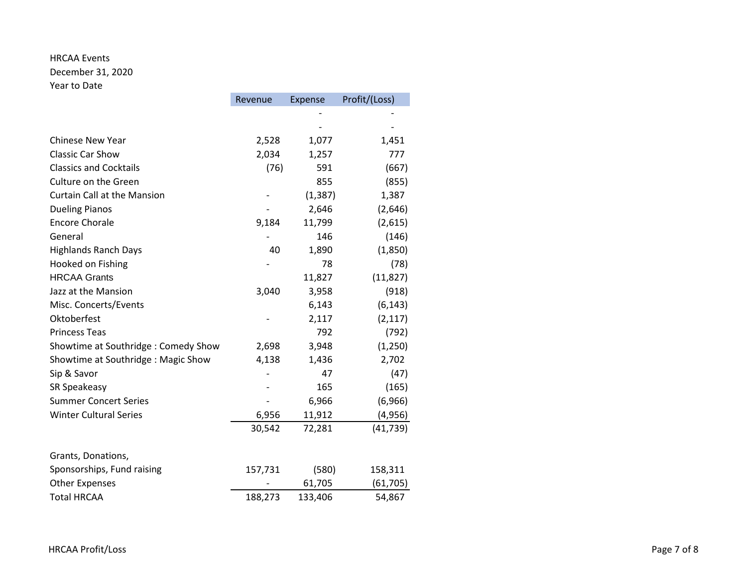# HRCAA Events

December 31, 2020 Year to Date

|                                     | Revenue | Expense  | Profit/(Loss) |
|-------------------------------------|---------|----------|---------------|
|                                     |         |          |               |
|                                     |         |          |               |
| <b>Chinese New Year</b>             | 2,528   | 1,077    | 1,451         |
| <b>Classic Car Show</b>             | 2,034   | 1,257    | 777           |
| <b>Classics and Cocktails</b>       | (76)    | 591      | (667)         |
| Culture on the Green                |         | 855      | (855)         |
| <b>Curtain Call at the Mansion</b>  |         | (1, 387) | 1,387         |
| <b>Dueling Pianos</b>               |         | 2,646    | (2,646)       |
| <b>Encore Chorale</b>               | 9,184   | 11,799   | (2,615)       |
| General                             |         | 146      | (146)         |
| <b>Highlands Ranch Days</b>         | 40      | 1,890    | (1,850)       |
| Hooked on Fishing                   |         | 78       | (78)          |
| <b>HRCAA Grants</b>                 |         | 11,827   | (11, 827)     |
| Jazz at the Mansion                 | 3,040   | 3,958    | (918)         |
| Misc. Concerts/Events               |         | 6,143    | (6, 143)      |
| Oktoberfest                         |         | 2,117    | (2, 117)      |
| <b>Princess Teas</b>                |         | 792      | (792)         |
| Showtime at Southridge: Comedy Show | 2,698   | 3,948    | (1, 250)      |
| Showtime at Southridge: Magic Show  | 4,138   | 1,436    | 2,702         |
| Sip & Savor                         |         | 47       | (47)          |
| SR Speakeasy                        |         | 165      | (165)         |
| <b>Summer Concert Series</b>        |         | 6,966    | (6,966)       |
| <b>Winter Cultural Series</b>       | 6,956   | 11,912   | (4,956)       |
|                                     | 30,542  | 72,281   | (41, 739)     |
| Grants, Donations,                  |         |          |               |
| Sponsorships, Fund raising          | 157,731 | (580)    | 158,311       |
| <b>Other Expenses</b>               |         | 61,705   | (61, 705)     |
| <b>Total HRCAA</b>                  | 188,273 | 133,406  | 54,867        |